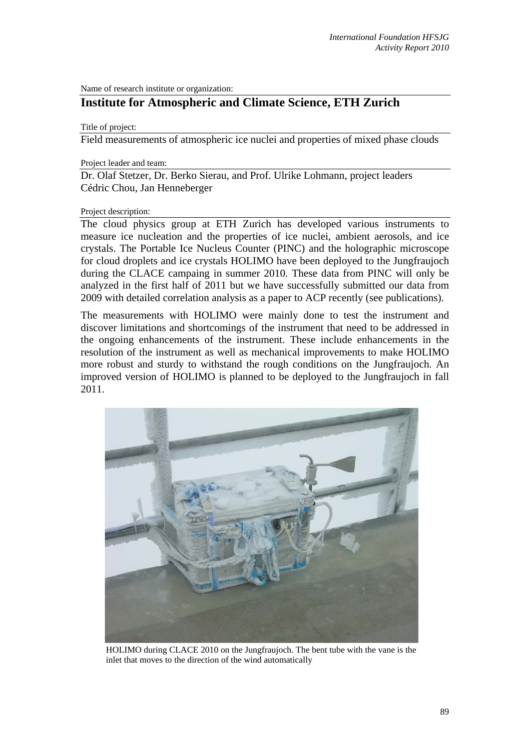Name of research institute or organization:

# **Institute for Atmospheric and Climate Science, ETH Zurich**

Title of project:

Field measurements of atmospheric ice nuclei and properties of mixed phase clouds

Project leader and team:

Dr. Olaf Stetzer, Dr. Berko Sierau, and Prof. Ulrike Lohmann, project leaders Cédric Chou, Jan Henneberger

#### Project description:

The cloud physics group at ETH Zurich has developed various instruments to measure ice nucleation and the properties of ice nuclei, ambient aerosols, and ice crystals. The Portable Ice Nucleus Counter (PINC) and the holographic microscope for cloud droplets and ice crystals HOLIMO have been deployed to the Jungfraujoch during the CLACE campaing in summer 2010. These data from PINC will only be analyzed in the first half of 2011 but we have successfully submitted our data from 2009 with detailed correlation analysis as a paper to ACP recently (see publications).

The measurements with HOLIMO were mainly done to test the instrument and discover limitations and shortcomings of the instrument that need to be addressed in the ongoing enhancements of the instrument. These include enhancements in the resolution of the instrument as well as mechanical improvements to make HOLIMO more robust and sturdy to withstand the rough conditions on the Jungfraujoch. An improved version of HOLIMO is planned to be deployed to the Jungfraujoch in fall 2011.



HOLIMO during CLACE 2010 on the Jungfraujoch. The bent tube with the vane is the inlet that moves to the direction of the wind automatically